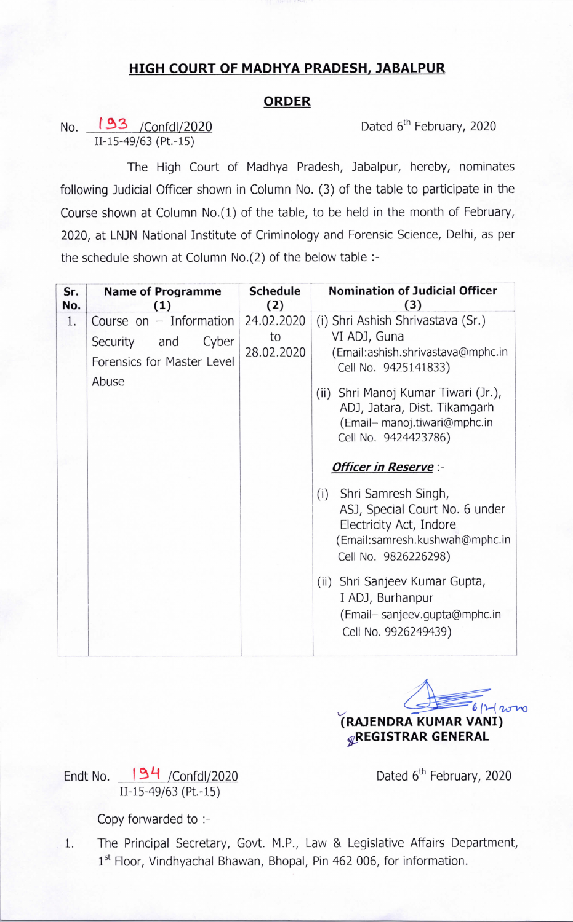## HIGH COURT 0F MADHYA PRADESH, JABALPUR

## ORDER

Dated 6<sup>th</sup> February, 2020

No. 193 / Confdl/2020 11-15-49/63 (Pt.-15)

The High Court of Madhya Pradesh, Jabalpur, hereby, nominates following Judicial Officer shown in Column No. (3) of the table to participate in the Course shown at Column No.(1) of the table, to be held in the month of February, 2020, at LNJN National Institute of Criminology and Forensic Science, Delhi, as per the schedule shown at Column No.(2) of the below table :-

| Sr. | <b>Name of Programme</b>                                                                  | <b>Schedule</b>                | <b>Nomination of Judicial Officer</b>                                                                                                                                                                                                                                                                                                                                                                                                                                                                                                                 |
|-----|-------------------------------------------------------------------------------------------|--------------------------------|-------------------------------------------------------------------------------------------------------------------------------------------------------------------------------------------------------------------------------------------------------------------------------------------------------------------------------------------------------------------------------------------------------------------------------------------------------------------------------------------------------------------------------------------------------|
| No. | (1)                                                                                       | (2)                            | (3)                                                                                                                                                                                                                                                                                                                                                                                                                                                                                                                                                   |
| 1.  | Course on $-$ Information<br>Cyber<br>Security and<br>Forensics for Master Level<br>Abuse | 24.02.2020<br>to<br>28.02.2020 | (i) Shri Ashish Shrivastava (Sr.)<br>VI ADJ, Guna<br>(Email:ashish.shrivastava@mphc.in<br>Cell No. 9425141833)<br>Shri Manoj Kumar Tiwari (Jr.),<br>(ii)<br>ADJ, Jatara, Dist. Tikamgarh<br>(Email- manoj.tiwari@mphc.in<br>Cell No. 9424423786)<br><b>Officer in Reserve:-</b><br>Shri Samresh Singh,<br>(i)<br>ASJ, Special Court No. 6 under<br>Electricity Act, Indore<br>(Email:samresh.kushwah@mphc.in<br>Cell No. 9826226298)<br>Shri Sanjeev Kumar Gupta,<br>(ii)<br>I ADJ, Burhanpur<br>(Email-sanjeev.gupta@mphc.in<br>Cell No. 9926249439) |

 $6|1-120$ [RAJENDRA KUMAR VANI) gREGISTRAR GENERAL

Endt No. 194 / Confdl/2020 11-15-49/63 (Pt.-15)

Dated 6<sup>th</sup> February, 2020

Copy forwarded to :-

1. The Principal Secretary, Govt. M.P., Law & Legislative Affairs Department, 1st Floor, Vindhyachal Bhawan, Bhopal, Pin 462 006, for information.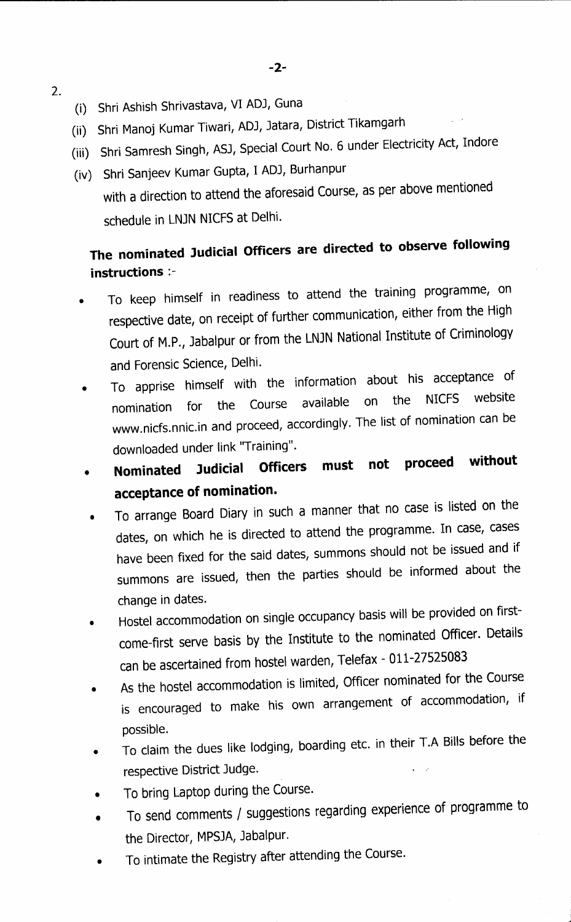- (i) Shri Ashish Shrivastava, VI ADJ, Guna
	- (ii) Shri Manoj Kumar Tiwari, ADJ, Jatara, District Tikamgarh
	- (iii) Shri Samresh Singh, ASJ, Special Court No. 6 under Electricity Act, Indore
	- (iv) Shri Sanjeev Kumar Gupta, I ADJ, Burhanpur
		- with a direction to attend the aforesaid Course, as per above mentioned schedule in LNJN NICFS at Delhi.

## The nominated Judicial Officers are directed to observe following instructions :-

- To keep himself in readiness to attend the training programme, on respective date, on receipt of further communication, either from the High Court of M.P., Jabalpur or from the LNJN National Institute of Criminology and Forensic Science, Delhi.
- To apprise himself with the information about his acceptance of<br>state the Caure available on the NICFS website nomination for the Course available on the NICFS website www.nicfs.nnic.in and proceed, accordingly. The list of nomination downloaded under link "Training".
- Nominated Judicial Officers must not proceed without acceptance of nomination.
- To arrange Board Diary in such a manner that no case is listed on the dates, on which he is directed to attend the programme. In case, cases have been fixed for the said dates, summons should not be issued and if summons are issued, then the parties should be informed about the change in dates.
- Hostel accommodation on single occupancy basis wiH be provided on first- $\bullet$ come-first serve basis by the Institute to the nominated Officer. Details can be ascertained from hostel warden, Telefax - 011-27525083
- As the hostel accommodation is limited, Officer nominated for the Course is encouraged to make his own arrangement of accommodation, if possible.
- To claim the dues like lodging, boarding etc. in their T.A Bills before the respective District Judge.
- To bring Laptop during the Course.
- To send comments / suggestions regarding experience of programme to the Director, MPSJA, Jabalpur.
- To intimate the Registry after attending the course.

2.